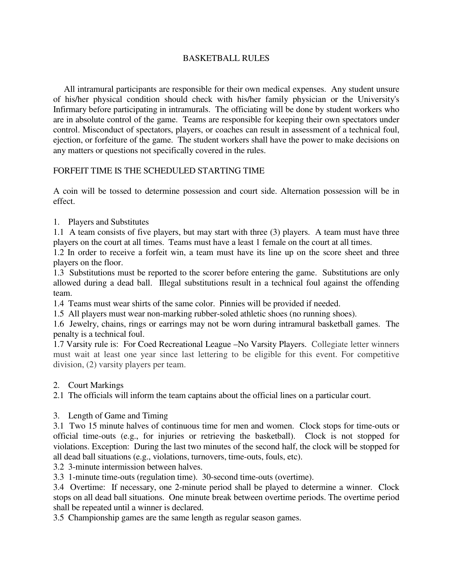## BASKETBALL RULES

 All intramural participants are responsible for their own medical expenses. Any student unsure of his/her physical condition should check with his/her family physician or the University's Infirmary before participating in intramurals. The officiating will be done by student workers who are in absolute control of the game. Teams are responsible for keeping their own spectators under control. Misconduct of spectators, players, or coaches can result in assessment of a technical foul, ejection, or forfeiture of the game. The student workers shall have the power to make decisions on any matters or questions not specifically covered in the rules.

## FORFEIT TIME IS THE SCHEDULED STARTING TIME

A coin will be tossed to determine possession and court side. Alternation possession will be in effect.

1. Players and Substitutes

1.1 A team consists of five players, but may start with three (3) players. A team must have three players on the court at all times. Teams must have a least 1 female on the court at all times.

1.2 In order to receive a forfeit win, a team must have its line up on the score sheet and three players on the floor.

1.3 Substitutions must be reported to the scorer before entering the game. Substitutions are only allowed during a dead ball. Illegal substitutions result in a technical foul against the offending team.

1.4 Teams must wear shirts of the same color. Pinnies will be provided if needed.

1.5 All players must wear non-marking rubber-soled athletic shoes (no running shoes).

1.6 Jewelry, chains, rings or earrings may not be worn during intramural basketball games. The penalty is a technical foul.

1.7 Varsity rule is: For Coed Recreational League –No Varsity Players. Collegiate letter winners must wait at least one year since last lettering to be eligible for this event. For competitive division, (2) varsity players per team.

2. Court Markings

2.1 The officials will inform the team captains about the official lines on a particular court.

3. Length of Game and Timing

3.1 Two 15 minute halves of continuous time for men and women. Clock stops for time-outs or official time-outs (e.g., for injuries or retrieving the basketball). Clock is not stopped for violations. Exception: During the last two minutes of the second half, the clock will be stopped for all dead ball situations (e.g., violations, turnovers, time-outs, fouls, etc).

3.2 3-minute intermission between halves.

3.3 1-minute time-outs (regulation time). 30-second time-outs (overtime).

3.4 Overtime: If necessary, one 2-minute period shall be played to determine a winner. Clock stops on all dead ball situations. One minute break between overtime periods. The overtime period shall be repeated until a winner is declared.

3.5 Championship games are the same length as regular season games.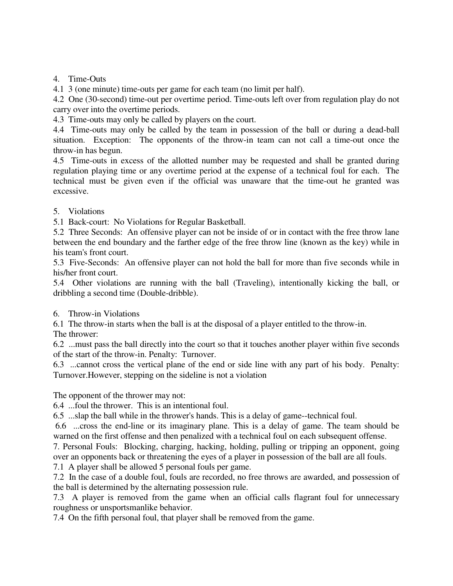4. Time-Outs

4.1 3 (one minute) time-outs per game for each team (no limit per half).

4.2 One (30-second) time-out per overtime period. Time-outs left over from regulation play do not carry over into the overtime periods.

4.3 Time-outs may only be called by players on the court.

4.4 Time-outs may only be called by the team in possession of the ball or during a dead-ball situation. Exception: The opponents of the throw-in team can not call a time-out once the throw-in has begun.

4.5 Time-outs in excess of the allotted number may be requested and shall be granted during regulation playing time or any overtime period at the expense of a technical foul for each. The technical must be given even if the official was unaware that the time-out he granted was excessive.

## 5. Violations

5.1 Back-court: No Violations for Regular Basketball.

5.2 Three Seconds: An offensive player can not be inside of or in contact with the free throw lane between the end boundary and the farther edge of the free throw line (known as the key) while in his team's front court.

5.3 Five-Seconds: An offensive player can not hold the ball for more than five seconds while in his/her front court.

5.4 Other violations are running with the ball (Traveling), intentionally kicking the ball, or dribbling a second time (Double-dribble).

## 6. Throw-in Violations

6.1 The throw-in starts when the ball is at the disposal of a player entitled to the throw-in.

The thrower:

6.2 ...must pass the ball directly into the court so that it touches another player within five seconds of the start of the throw-in. Penalty: Turnover.

6.3 ...cannot cross the vertical plane of the end or side line with any part of his body. Penalty: Turnover.However, stepping on the sideline is not a violation

The opponent of the thrower may not:

6.4 ...foul the thrower. This is an intentional foul.

6.5 ...slap the ball while in the thrower's hands. This is a delay of game--technical foul.

 6.6 ...cross the end-line or its imaginary plane. This is a delay of game. The team should be warned on the first offense and then penalized with a technical foul on each subsequent offense.

7. Personal Fouls: Blocking, charging, hacking, holding, pulling or tripping an opponent, going over an opponents back or threatening the eyes of a player in possession of the ball are all fouls.

7.1 A player shall be allowed 5 personal fouls per game.

7.2 In the case of a double foul, fouls are recorded, no free throws are awarded, and possession of the ball is determined by the alternating possession rule.

7.3 A player is removed from the game when an official calls flagrant foul for unnecessary roughness or unsportsmanlike behavior.

7.4 On the fifth personal foul, that player shall be removed from the game.